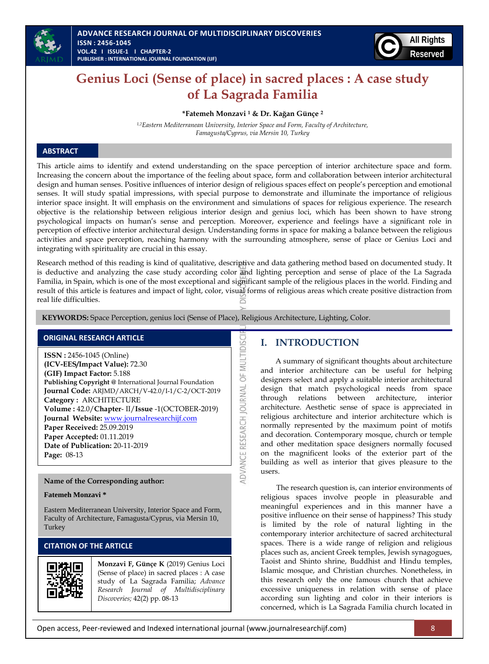



# **Genius Loci (Sense of place) in sacred places : A case study of La Sagrada Familia**

**\*Fatemeh Monzavi <sup>1</sup> & Dr. Kağan Günçe <sup>2</sup>**

*1,2Eastern Mediterranean University, Interior Space and Form, Faculty of Architecture, Famagusta/Cyprus, via Mersin 10, Turkey*

### **ABSTRACT**

This article aims to identify and extend understanding on the space perception of interior architecture space and form. Increasing the concern about the importance of the feeling about space, form and collaboration between interior architectural design and human senses. Positive influences of interior design of religious spaces effect on people's perception and emotional senses. It will study spatial impressions, with special purpose to demonstrate and illuminate the importance of religious interior space insight. It will emphasis on the environment and simulations of spaces for religious experience. The research objective is the relationship between religious interior design and genius loci, which has been shown to have strong psychological impacts on human's sense and perception. Moreover, experience and feelings have a significant role in perception of effective interior architectural design. Understanding forms in space for making a balance between the religious activities and space perception, reaching harmony with the surrounding atmosphere, sense of place or Genius Loci and integrating with spirituality are crucial in this essay.

Research method of this reading is kind of qualitative, descriptive and data gathering method based on documented study. It is deductive and analyzing the case study according color and lighting perception and sense of place of the La Sagrada Familia, in Spain, which is one of the most exceptional and significant sample of the religious places in the world. Finding and result of this article is features and impact of light, color, visual forms of religious areas which create positive distraction from real life difficulties.

ADVANCE RESEARCH JOURNAL OF MULTIDISC

**KEYWORDS:** Space Perception, genius loci (Sense of Place), Religious Architecture, Lighting, Color.

### **ORIGINAL RESEARCH ARTICLE**

**ISSN :** 2456-1045 (Online) **(ICV-EES/Impact Value):** 72.30 **(GIF) Impact Factor:** 5.188 **Publishing Copyright @** International Journal Foundation **Journal Code:** ARJMD/ARCH/V-42.0/I-1/C-2/OCT-2019 **Category :** ARCHITECTURE **Volume :** 42.0/**Chapter**- II/**Issue** -1(OCTOBER-2019) **Journal Website:** [www.journalresearchijf.com](http://www.journalresearchijf.com/) **Paper Received:** 25.09.2019 **Paper Accepted:** 01.11.2019 **Date of Publication:** 20-11-2019 **Page:** 08-13

### **Name of the Corresponding author:**

#### **Fatemeh Monzavi \***

Eastern Mediterranean University, Interior Space and Form, Faculty of Architecture, Famagusta/Cyprus, via Mersin 10, **Turkey** 

### **CITATION OF THE ARTICLE**



**Monzavi F, Günçe K** (2019) Genius Loci (Sense of place) in sacred places : A case study of La Sagrada Familia; *Advance Research Journal of Multidisciplinary Discoveries;* 42(2) pp. 08-13

### **I. INTRODUCTION**

A summary of significant thoughts about architecture and interior architecture can be useful for helping designers select and apply a suitable interior architectural design that match psychological needs from space through relations between architecture, interior architecture. Aesthetic sense of space is appreciated in religious architecture and interior architecture which is normally represented by the maximum point of motifs and decoration. Contemporary mosque, church or temple and other meditation space designers normally focused on the magnificent looks of the exterior part of the building as well as interior that gives pleasure to the users.

The research question is, can interior environments of religious spaces involve people in pleasurable and meaningful experiences and in this manner have a positive influence on their sense of happiness? This study is limited by the role of natural lighting in the contemporary interior architecture of sacred architectural spaces. There is a wide range of religion and religious places such as, ancient Greek temples, Jewish synagogues, Taoist and Shinto shrine, Buddhist and Hindu temples, Islamic mosque, and Christian churches. Nonetheless, in this research only the one famous church that achieve excessive uniqueness in relation with sense of place according sun lighting and color in their interiors is concerned, which is La Sagrada Familia church located in

Open access, Peer-reviewed and Indexed international journal (www.journalresearchijf.com) 8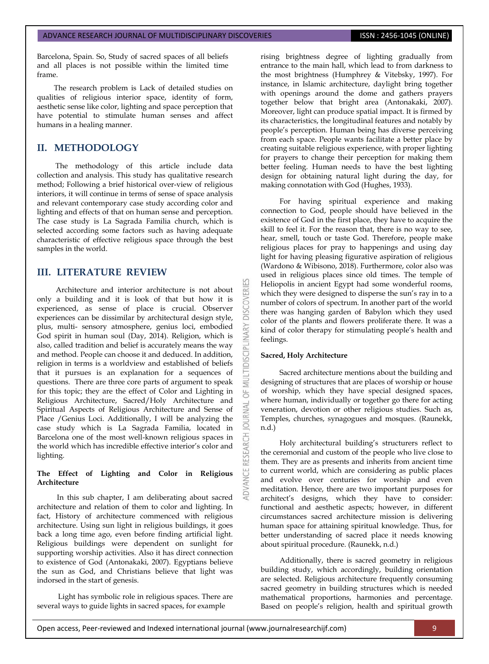Barcelona, Spain. So, Study of sacred spaces of all beliefs and all places is not possible within the limited time frame. Î

The research problem is Lack of detailed studies on qualities of religious interior space, identity of form, aesthetic sense like color, lighting and space perception that have potential to stimulate human senses and affect humans in a healing manner.

### **II. METHODOLOGY**

The methodology of this article include data collection and analysis. This study has qualitative research method; Following a brief historical over-view of religious interiors, it will continue in terms of sense of space analysis and relevant contemporary case study according color and lighting and effects of that on human sense and perception. The case study is La Sagrada Familia church, which is selected according some factors such as having adequate characteristic of effective religious space through the best samples in the world.

### **III. LITERATURE REVIEW**

Architecture and interior architecture is not about only a building and it is look of that but how it is experienced, as sense of place is crucial. Observer experiences can be dissimilar by architectural design style, plus, multi- sensory atmosphere, genius loci, embodied God spirit in human soul (Day, 2014). Religion, which is also, called tradition and belief is accurately means the way and method. People can choose it and deduced. In addition, religion in terms is a worldview and established of beliefs that it pursues is an explanation for a sequences of questions. There are three core parts of argument to speak for this topic; they are the effect of Color and Lighting in Religious Architecture, Sacred/Holy Architecture and Spiritual Aspects of Religious Architecture and Sense of Place /Genius Loci. Additionally, I will be analyzing the case study which is La Sagrada Familia, located in Barcelona one of the most well-known religious spaces in the world which has incredible effective interior's color and lighting.

### **The Effect of Lighting and Color in Religious Architecture**

In this sub chapter, I am deliberating about sacred architecture and relation of them to color and lighting. In fact, History of architecture commenced with religious architecture. Using sun light in religious buildings, it goes back a long time ago, even before finding artificial light. Religious buildings were dependent on sunlight for supporting worship activities. Also it has direct connection to existence of God (Antonakaki, 2007). Egyptians believe the sun as God, and Christians believe that light was indorsed in the start of genesis.

Light has symbolic role in religious spaces. There are several ways to guide lights in sacred spaces, for example

rising brightness degree of lighting gradually from entrance to the main hall, which lead to from darkness to the most brightness (Humphrey & Vitebsky, 1997). For instance, in Islamic architecture, daylight bring together with openings around the dome and gathers prayers together below that bright area (Antonakaki, 2007). Moreover, light can produce spatial impact. It is firmed by its characteristics, the longitudinal features and notably by people's perception. Human being has diverse perceiving from each space. People wants facilitate a better place by creating suitable religious experience, with proper lighting for prayers to change their perception for making them better feeling. Human needs to have the best lighting design for obtaining natural light during the day, for making connotation with God (Hughes, 1933).

For having spiritual experience and making connection to God, people should have believed in the existence of God in the first place, they have to acquire the skill to feel it. For the reason that, there is no way to see, hear, smell, touch or taste God. Therefore, people make religious places for pray to happenings and using day light for having pleasing figurative aspiration of religious (Wardono & Wibisono, 2018). Furthermore, color also was used in religious places since old times. The temple of Heliopolis in ancient Egypt had some wonderful rooms, which they were designed to disperse the sun's ray in to a number of colors of spectrum. In another part of the world there was hanging garden of Babylon which they used color of the plants and flowers proliferate there. It was a kind of color therapy for stimulating people's health and feelings.

#### **Sacred, Holy Architecture**

**DISCOVERI** 

5

**OURNAL** 

RESEARCH

Sacred architecture mentions about the building and designing of structures that are places of worship or house of worship, which they have special designed spaces, where human, individually or together go there for acting veneration, devotion or other religious studies. Such as, Temples, churches, synagogues and mosques. (Raunekk, n.d.)

Holy architectural building's structurers reflect to the ceremonial and custom of the people who live close to them. They are as presents and inherits from ancient time to current world, which are considering as public places and evolve over centuries for worship and even meditation. Hence, there are two important purposes for architect's designs, which they have to consider: functional and aesthetic aspects; however, in different circumstances sacred architecture mission is delivering human space for attaining spiritual knowledge. Thus, for better understanding of sacred place it needs knowing about spiritual procedure. (Raunekk, n.d.)

Additionally, there is sacred geometry in religious building study, which accordingly, building orientation are selected. Religious architecture frequently consuming sacred geometry in building structures which is needed mathematical proportions, harmonies and percentage. Based on people's religion, health and spiritual growth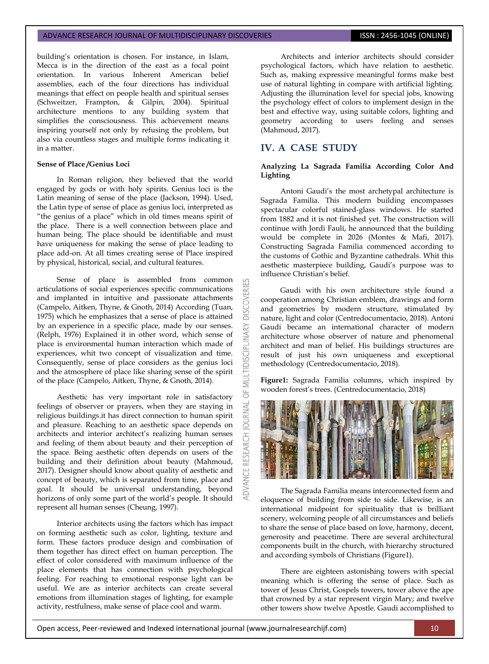building's orientation is chosen. For instance, in Islam, Mecca is in the direction of the east as a focal point orientation. In various Inherent American belief assemblies, each of the four directions has individual meanings that effect on people health and spiritual senses (Schweitzer, Frampton, & Gilpin, 2004). Spiritual architecture mentions to any building system that simplifies the consciousness. This achievement means inspiring yourself not only by refusing the problem, but also via countless stages and multiple forms indicating it in a matter.

#### **Sense of Place /Genius Loci**

In Roman religion, they believed that the world engaged by gods or with holy spirits. Genius loci is the Latin meaning of sense of the place (Jackson, 1994). Used, the Latin type of sense of place as genius loci, interpreted as "the genius of a place" which in old times means spirit of the place. There is a well connection between place and human being. The place should be identifiable and must have uniqueness for making the sense of place leading to place add-on. At all times creating sense of Place inspired by physical, historical, social, and cultural features.

Sense of place is assembled from common articulations of social experiences specific communications and implanted in intuitive and passionate attachments (Campelo, Aitken, Thyne, & Gnoth, 2014) According (Tuan, 1975) which he emphasizes that a sense of place is attained by an experience in a specific place, made by our senses. (Relph, 1976) Explained it in other word, which sense of place is environmental human interaction which made of experiences, whit two concept of visualization and time. Consequently, sense of place considers as the genius loci and the atmosphere of place like sharing sense of the spirit of the place (Campelo, Aitken, Thyne, & Gnoth, 2014).

Aesthetic has very important role in satisfactory feelings of observer or prayers, when they are staying in religious buildings.it has direct connection to human spirit and pleasure. Reaching to an aesthetic space depends on architects and interior architect's realizing human senses and feeling of them about beauty and their perception of the space. Being aesthetic often depends on users of the building and their definition about beauty (Mahmoud, 2017). Designer should know about quality of aesthetic and concept of beauty, which is separated from time, place and goal. It should be universal understanding, beyond horizons of only some part of the world's people. It should represent all human senses (Cheung, 1997).

Interior architects using the factors which has impact on forming aesthetic such as color, lighting, texture and form. These factors produce design and combination of them together has direct effect on human perception. The effect of color considered with maximum influence of the place elements that has connection with psychological feeling. For reaching to emotional response light can be useful. We are as interior architects can create several emotions from illumination stages of lighting, for example activity, restfulness, make sense of place cool and warm.

Architects and interior architects should consider psychological factors, which have relation to aesthetic. Such as, making expressive meaningful forms make best use of natural lighting in compare with artificial lighting. Adjusting the illumination level for special jobs, knowing the psychology effect of colors to implement design in the best and effective way, using suitable colors, lighting and geometry according to users feeling and senses (Mahmoud, 2017).

## **IV. A CASE STUDY**

**DISCOVERI** 

LTIDISCIPLI

5

**OURNAL** 

#### **Analyzing La Sagrada Familia According Color And Lighting**

Antoni Gaudi's the most archetypal architecture is Sagrada Familia. This modern building encompasses spectacular colorful stained-glass windows. He started from 1882 and it is not finished yet. The construction will continue with Jordi Faulí, he announced that the building would be complete in 2026 (Montes & Mafi, 2017). Constructing Sagrada Familia commenced according to the customs of Gothic and Byzantine cathedrals. Whit this aesthetic masterpiece building, Gaudi's purpose was to influence Christian's belief.

Gaudi with his own architecture style found a cooperation among Christian emblem, drawings and form and geometries by modern structure, stimulated by nature, light and color (Centredocumentacio, 2018). Antoni Gaudi became an international character of modern architecture whose observer of nature and phenomenal architect and man of belief. His buildings structures are result of just his own uniqueness and exceptional methodology (Centredocumentacio, 2018).

**Figure1:** Sagrada Familia columns, which inspired by wooden forest's trees. (Centredocumentacio, 2018)



The Sagrada Familia means interconnected form and eloquence of building from side to side. Likewise, is an international midpoint for spirituality that is brilliant scenery, welcoming people of all circumstances and beliefs to share the sense of place based on love, harmony, decent, generosity and peacetime. There are several architectural components built in the church, with hierarchy structured and according symbols of Christians (Figure1).

There are eighteen astonishing towers with special meaning which is offering the sense of place. Such as tower of Jesus Christ, Gospels towers, tower above the ape that crowned by a star represent virgin Mary; and twelve other towers show twelve Apostle. Gaudi accomplished to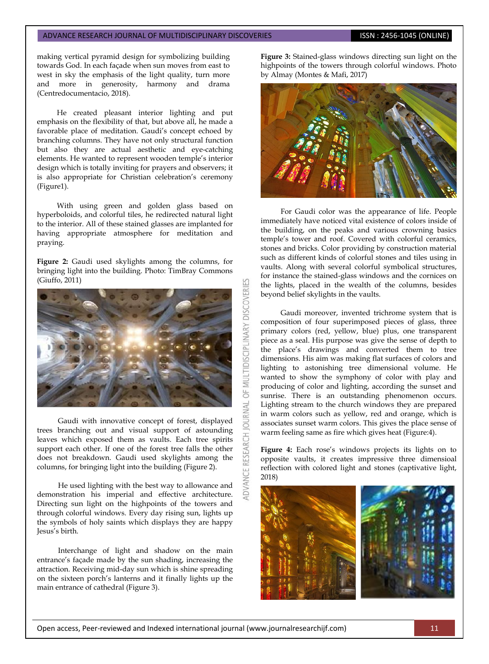making vertical pyramid design for symbolizing building towards God. In each façade when sun moves from east to west in sky the emphasis of the light quality, turn more and more in generosity, harmony and drama (Centredocumentacio, 2018).

He created pleasant interior lighting and put emphasis on the flexibility of that, but above all, he made a favorable place of meditation. Gaudi's concept echoed by branching columns. They have not only structural function but also they are actual aesthetic and eye-catching elements. He wanted to represent wooden temple's interior design which is totally inviting for prayers and observers; it is also appropriate for Christian celebration's ceremony (Figure1).

With using green and golden glass based on hyperboloids, and colorful tiles, he redirected natural light to the interior. All of these stained glasses are implanted for having appropriate atmosphere for meditation and praying.

**Figure 2:** Gaudi used skylights among the columns, for bringing light into the building. Photo: TimBray Commons (Giuffo, 2011)

![](_page_3_Picture_6.jpeg)

Gaudi with innovative concept of forest, displayed trees branching out and visual support of astounding leaves which exposed them as vaults. Each tree spirits support each other. If one of the forest tree falls the other does not breakdown. Gaudi used skylights among the columns, for bringing light into the building (Figure 2).

He used lighting with the best way to allowance and demonstration his imperial and effective architecture. Directing sun light on the highpoints of the towers and through colorful windows. Every day rising sun, lights up the symbols of holy saints which displays they are happy Jesus's birth.

Interchange of light and shadow on the main entrance's façade made by the sun shading, increasing the attraction. Receiving mid-day sun which is shine spreading on the sixteen porch's lanterns and it finally lights up the main entrance of cathedral (Figure 3).

**Figure 3:** Stained-glass windows directing sun light on the highpoints of the towers through colorful windows. Photo by Almay (Montes & Mafi, 2017)

![](_page_3_Picture_11.jpeg)

For Gaudi color was the appearance of life. People immediately have noticed vital existence of colors inside of the building, on the peaks and various crowning basics temple's tower and roof. Covered with colorful ceramics, stones and bricks. Color providing by construction material such as different kinds of colorful stones and tiles using in vaults. Along with several colorful symbolical structures, for instance the stained-glass windows and the cornices on the lights, placed in the wealth of the columns, besides beyond belief skylights in the vaults.

Gaudi moreover, invented trichrome system that is composition of four superimposed pieces of glass, three primary colors (red, yellow, blue) plus, one transparent piece as a seal. His purpose was give the sense of depth to the place's drawings and converted them to tree dimensions. His aim was making flat surfaces of colors and lighting to astonishing tree dimensional volume. He wanted to show the symphony of color with play and producing of color and lighting, according the sunset and sunrise. There is an outstanding phenomenon occurs. Lighting stream to the church windows they are prepared in warm colors such as yellow, red and orange, which is associates sunset warm colors. This gives the place sense of warm feeling same as fire which gives heat (Figure:4).

**Figure 4:** Each rose's windows projects its lights on to opposite vaults, it creates impressive three dimensioal reflection with colored light and stones (captivative light, 2018)

![](_page_3_Picture_15.jpeg)

OF MULTIDISCIPLINARY DISCOVERI

**JRNAL**  $\overline{0}$ 

**RESEARCH** 

ADVANCE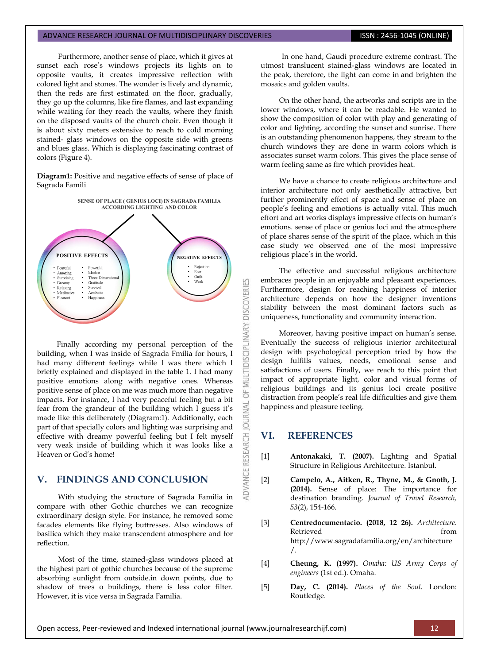Furthermore, another sense of place, which it gives at sunset each rose's windows projects its lights on to opposite vaults, it creates impressive reflection with colored light and stones. The wonder is lively and dynamic, then the reds are first estimated on the floor, gradually, they go up the columns, like fire flames, and last expanding while waiting for they reach the vaults, where they finish on the disposed vaults of the church choir. Even though it is about sixty meters extensive to reach to cold morning stained- glass windows on the opposite side with greens and blues glass. Which is displaying fascinating contrast of colors (Figure 4).

**Diagram1:** Positive and negative effects of sense of place of Sagrada Famili

![](_page_4_Figure_4.jpeg)

Finally according my personal perception of the building, when I was inside of Sagrada Fmilia for hours, I had many different feelings while I was there which I briefly explained and displayed in the table 1. I had many positive emotions along with negative ones. Whereas positive sense of place on me was much more than negative impacts. For instance, I had very peaceful feeling but a bit fear from the grandeur of the building which I guess it's made like this deliberately (Diagram:1). Additionally, each part of that specially colors and lighting was surprising and effective with dreamy powerful feeling but I felt myself very weak inside of building which it was looks like a Heaven or God's home!

### **V. FINDINGS AND CONCLUSION**

With studying the structure of Sagrada Familia in compare with other Gothic churches we can recognize extraordinary design style. For instance, he removed some facades elements like flying buttresses. Also windows of basilica which they make transcendent atmosphere and for reflection.

Most of the time, stained-glass windows placed at the highest part of gothic churches because of the supreme absorbing sunlight from outside.in down points, due to shadow of trees o buildings, there is less color filter. However, it is vice versa in Sagrada Familia.

In one hand, Gaudi procedure extreme contrast. The utmost translucent stained-glass windows are located in the peak, therefore, the light can come in and brighten the mosaics and golden vaults.

On the other hand, the artworks and scripts are in the lower windows, where it can be readable. He wanted to show the composition of color with play and generating of color and lighting, according the sunset and sunrise. There is an outstanding phenomenon happens, they stream to the church windows they are done in warm colors which is associates sunset warm colors. This gives the place sense of warm feeling same as fire which provides heat.

We have a chance to create religious architecture and interior architecture not only aesthetically attractive, but further prominently effect of space and sense of place on people's feeling and emotions is actually vital. This much effort and art works displays impressive effects on human's emotions. sense of place or genius loci and the atmosphere of place shares sense of the spirit of the place, which in this case study we observed one of the most impressive religious place's in the world.

The effective and successful religious architecture embraces people in an enjoyable and pleasant experiences. Furthermore, design for reaching happiness of interior architecture depends on how the designer inventions stability between the most dominant factors such as uniqueness, functionality and community interaction.

Moreover, having positive impact on human's sense. Eventually the success of religious interior architectural design with psychological perception tried by how the design fulfills values, needs, emotional sense and satisfactions of users. Finally, we reach to this point that impact of appropriate light, color and visual forms of religious buildings and its genius loci create positive distraction from people's real life difficulties and give them happiness and pleasure feeling.

### **VI. REFERENCES**

**DISCIPLI** 

**JOURNAL** 

**IDVANCE RESEARCH** 

- [1] **Antonakaki, T. (2007).** Lighting and Spatial Structure in Religious Architecture. Istanbul.
- [2] **Campelo, A., Aitken, R., Thyne, M., & Gnoth, J. (2014).** Sense of place: The importance for destination branding. *Journal of Travel Research, 53*(2), 154-166.
- [3] **Centredocumentacio. (2018, 12 26).** *Architecture*. Retrieved from the settlement of the settlement of the settlement of the settlement of the settlement of the set http://www.sagradafamilia.org/en/architecture /.
- [4] **Cheung, K. (1997).** *Omaha: US Army Corps of engineers* (1st ed.). Omaha.
- [5] **Day, C. (2014).** *Places of the Soul.* London: Routledge.